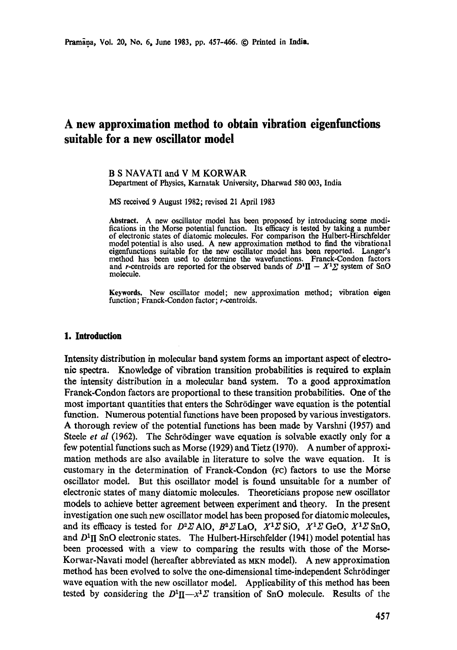# **A new approximation method to obtain vibration eigenfunctions suitable for a new oscillator model**

#### B S NAVATI and V M KORWAR Department of Physics, Karnatak University, Dharwad 580 003, India

MS received 9 August 1982; revised 21 April 1983

Abstract. A new oscillator model has been proposed by introducing some modifications in the Morse potential function. Its efficacy is tested by taking a number of electronic states of diatomic molecules. For comparison the Hulbort-Hirschfelder model potential is also used. A new approximation method to find the vibrational eigenfunctions suitable for the new oscillator model has been reported. Langer's method has been used to determine the wavefunctions. Franck-Condon factors and r-centroids are reported for the observed bands of  $D^1 \mathbf{I} - X^1 \Sigma$  system of SnO molecule.

Keywords. New oscillator model; new approximation method; vibration eigen function; Franck-Condon factor; r-centroids.

#### **1. Introduction**

Intensity distribution in molecular band system forms an important aspect of electronic spectra. Knowledge of vibration transition probabilities is required to explain the intensity distribution in a molecular band system. To a good approximation Franck-Condon factors are proportional to these transition probabilities. One of the most important quantities that enters the Schr6dinger wave equation is the potential function. Numerous potential functions have been proposed by various investigators. A thorough review of the potential functions has been made by Varslmi (1957) and Steele *et al* (1962). The Schrödinger wave equation is solvable exactly only for a few potential functions such as Morse (1929) and Tietz (1970). A number of approximation methods are also available in literature to solve the wave equation. It is customary in the determination of Franck-Condon (Fc) factors to use the Morse oscillator model. But this oscillator model is found unsuitable for a number of electronic states of many diatomic molecules. Theoreticians propose new oscillator models to achieve better agreement between experiment and theory. In the present investigation one such new oscillator model has been proposed for diatomic molecules, and its efficacy is tested for  $D^2Z$  AlO,  $B^2Z$  LaO,  $X^1Z$  SiO,  $X^1Z$  GeO,  $X^1Z$  SnO, and  $D<sup>1</sup>$ II SnO electronic states. The Hulbert-Hirschfelder (1941) model potential has been processed with a view to comparing the results with those of the Morse-Korwar-Navati model (hereafter abbreviated as MKN model). A new approximation method has been evolved to solve the one-dimensional time-independent Schrödinger wave equation with the new oscillator model. Applicability of this method has been tested by considering the  $D^1 \Pi - x^1 \Sigma$  transition of SnO molecule. Results of the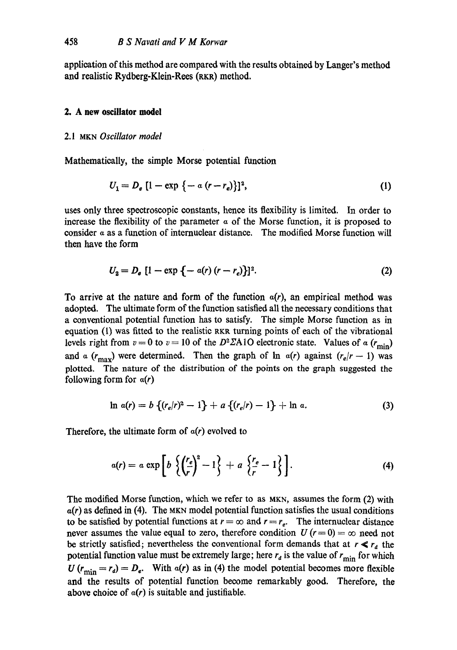application of this method are compared with the results obtained by Langer's method and realistic Rydberg-Klein-Rees (RKR) method.

## **2. A new oscillator model**

#### 2.1 MKN *Oscillator model*

Mathematically, the simple Morse potential function

$$
U_1 = D_e [1 - \exp \{-a (r - r_e)\}]^2,
$$
 (1)

uses only three spectroscopic constants, hence its flexibility is limited. In order to increase the flexibility of the parameter  $\alpha$  of the Morse function, it is proposed to consider  $\alpha$  as a function of internuclear distance. The modified Morse function will then have the form

$$
U_2 = D_e [1 - \exp \{-a(r) (r - r_e)\}]^2.
$$
 (2)

To arrive at the nature and form of the function  $a(r)$ , an empirical method was adopted. The ultimate form of the function satisfied all the necessary conditions that a conventional potential function has to satisfy. The simple Morse function as in equation (1) was fitted to the realistic RKR turning points of each of the vibrational levels right from  $v = 0$  to  $v = 10$  of the D<sup>2</sup>ZA1O electronic state. Values of a ( $r_{\text{min}}$ ) and  $\alpha$  ( $r_{\text{max}}$ ) were determined. Then the graph of  $\ln \alpha(r)$  against  $(r_e/r - 1)$  was plotted. The nature of the distribution of the points on the graph suggested the following form for  $a(r)$ 

$$
\ln a(r) = b \left\{ (r_e/r)^2 - 1 \right\} + a \left\{ (r_e/r) - 1 \right\} + \ln a. \tag{3}
$$

Therefore, the ultimate form of  $a(r)$  evolved to

$$
a(r) = a \exp\left[b\left\{\left(\frac{r_e}{r}\right)^2 - 1\right\} + a\left\{\frac{r_e}{r} - 1\right\}\right].
$$
 (4)

The modified Morse function, which we refer to as MKN, assumes the form (2) with  $a(r)$  as defined in (4). The MKN model potential function satisfies the usual conditions to be satisfied by potential functions at  $r = \infty$  and  $r = r_e$ . The internuclear distance never assumes the value equal to zero, therefore condition  $U(r=0) = \infty$  need not be strictly satisfied; nevertheless the conventional form demands that at  $r \ll r_d$  the potential function value must be extremely large; here  $r_d$  is the value of  $r_{\text{min}}$  for which  $U(r_{\text{min}} = r_d) = D_e$ . With  $a(r)$  as in (4) the model potential becomes more flexible and the results of potential function become remarkably good. Therefore, the above choice of  $\alpha(r)$  is suitable and justifiable.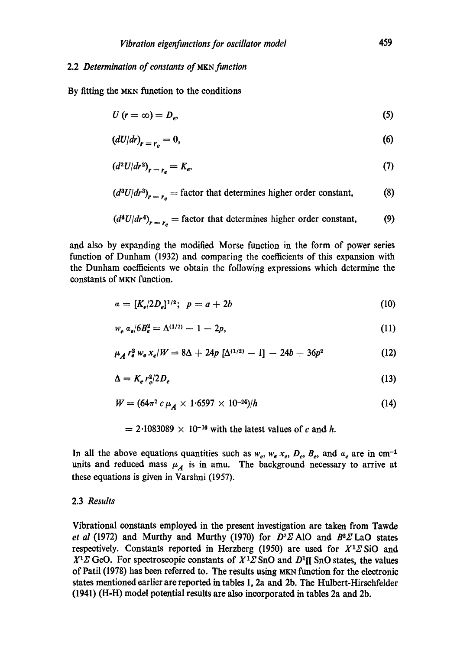# 2.2 *Determination of constants of MKN function*

By fitting the MKN function to the conditions

$$
U(r=\infty)=D_e,\tag{5}
$$

$$
(dU/dr)_{r=r_o}=0,\t\t(6)
$$

$$
\left(d^2U/dr^2\right)_{r=r_e}=K_e,\tag{7}
$$

$$
(d3U/dr3)r=re = factor that determines higher order constant,
$$
 (8)

$$
(d4U/dr4)r=re = factor that determines higher order constant, (9)
$$

constants of MKN function. and also by expanding the modified Morse function in the form of power series function of Dunham (1932) and comparing the coefficients of this expansion with the Dunham coefficients we obtain the following expressions which determine the

$$
a = [K_e/2D_e]^{1/2}; \ \ p = a + 2b \tag{10}
$$

$$
w_e a_e / 6B_e^2 = \Delta^{(1/2)} - 1 - 2p,\tag{11}
$$

$$
\mu_A r_e^2 w_e x_e/W = 8\Delta + 24p \left[\Delta^{(1/2)} - 1\right] - 24b + 36p^2 \tag{12}
$$

$$
\Delta = K_e r_e^2 / 2D_e \tag{13}
$$

$$
W = (64\pi^2 \, c \, \mu_A \times 1.6597 \times 10^{-24})/h \tag{14}
$$

= 
$$
2.1083089 \times 10^{-16}
$$
 with the latest values of c and h.

In all the above equations quantities such as  $w_e$ ,  $w_e$ ,  $x_e$ ,  $D_e$ ,  $B_e$ , and  $a_e$  are in cm<sup>-1</sup> units and reduced mass  $\mu_A$  is in amu. The background necessary to arrive at these equations is given in Varshni (1957).

## 2.3 *Results*

Vibrational constants employed in the present investigation are taken from Tawde *et al* (1972) and Murthy and Murthy (1970) for  $D^2Z$  AlO and  $B^2Z$  LaO states respectively. Constants reported in Herzberg (1950) are used for  $X<sup>1</sup>Z$  SiO and  $X<sup>1</sup>Z$  GeO. For spectroscopic constants of  $X<sup>1</sup>Z$  SnO and  $D<sup>1</sup>II$  SnO states, the values of Patil (1978) has been referred to. The results using MKN function for the electronic states mentioned earlier are reported in tables 1, 2a and 2b. The Hulbert-Hirsehfelder (1941) (H-H) model potential results are also incorporated in tables 2a and 2b.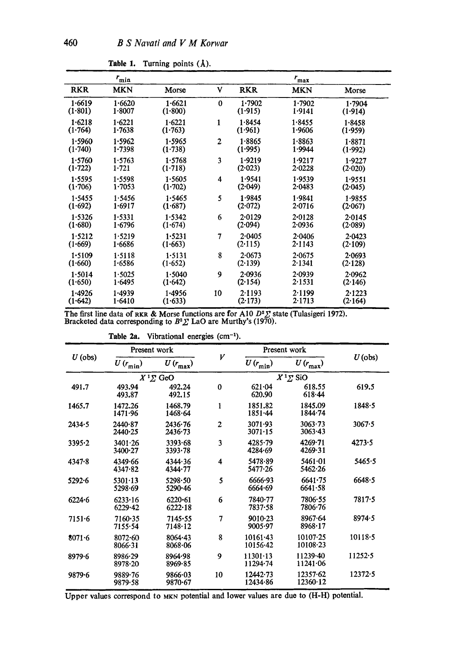|            | $r_{\min}$ |         |                |            | $r_{\text{max}}$ |            |
|------------|------------|---------|----------------|------------|------------------|------------|
| <b>RKR</b> | <b>MKN</b> | Morse   | ٧              | <b>RKR</b> | <b>MKN</b>       | Morse      |
| 1.6619     | 1.6620     | 1.6621  | $\bf{0}$       | 1.7902     | 1.7902           | 1.7904     |
| (1.801)    | 1.8007     | (1.800) |                | (1.915)    | 1.9141           | (1.914)    |
| 1.6218     | 1.6221     | 1.6221  | 1              | 1.8454     | 1.8455           | 1.8458     |
| (1.764)    | 1.7638     | (1.763) |                | (1.961)    | 1.9606           | (1.959)    |
| 1.5960     | 1.5962     | 1.5965  | $\overline{2}$ | 1.8865     | 1.8863           | 1.8871     |
| (1.740)    | 1.7398     | (1.738) |                | (1.995)    | 1.9944           | (1.992)    |
| 1.5760     | 1.5763     | 1.5768  | 3              | 1.9219     | 1.9217           | 1.9227     |
| (1.722)    | 1.721      | (1.718) |                | (2.023)    | 2.0228           | (2.020)    |
| 1.5595     | 1.5598     | 1.5605  | 4              | 1.9541     | 1.9539           | 1.9551     |
| (1.706)    | 1.7053     | (1.702) |                | (2.049)    | 2.0483           | (2.045)    |
| 1.5455     | 1.5456     | 1.5465  | 5              | 1.9845     | 1.9841           | 1.9855     |
| (1.692)    | 1.6917     | (1.687) |                | (2.072)    | 2.0716           | (2.067)    |
| 1.5326     | 1.5331     | 1.5342  | 6              | 2.0129     | $2 - 0128$       | $2 - 0145$ |
| (1.680)    | 1.6796     | (1.674) |                | (2.094)    | 2.0936           | (2.089)    |
| 1.5212     | 1.5219     | 1.5231  | 7              | 2.0405     | 2.0406           | 2.0423     |
| (1.669)    | 1.6686     | (1.663) |                | (2.115)    | 2.1143           | (2.109)    |
| 1.5109     | 1.5118     | 1.5131  | 8              | 2-0673     | 2.0675           | 2.0693     |
| (1.660)    | 1.6586     | (1.652) |                | (2.139)    | 2.1341           | (2.128)    |
| 1.5014     | 1.5025     | 1.5040  | 9              | 2.0936     | 2.0939           | 2.0962     |
| (1.650)    | 1.6495     | (1.642) |                | (2.154)    | 2.1531           | (2.146)    |
| 1.4926     | 1.4939     | 1.4956  | 10             | 2.1193     | 2.1199           | 2.1223     |
| (1.642)    | 1.6410     | (1.633) |                | (2.173)    | 2.1713           | (2.164)    |

Table 1. Turning points (Å).

The first line data of RKR & Morse functions are for A10  $D^2\Sigma$  state (Tulasigeri 1972). Bracketed data corresponding to  $B^2\Sigma$  LaO are Murthy's (1970).

| $U$ (obs)  | Present work       |                              |                | Present work                 |                              |             |
|------------|--------------------|------------------------------|----------------|------------------------------|------------------------------|-------------|
|            | $U(r_{\min})$      | $U\left(r_\text{max}\right)$ | V              | $U(r_{\min})$                | $U\left(r_\text{max}\right)$ | $U$ (obs)   |
|            |                    | $X^1\Sigma$ GeO              |                |                              | $X^1\Sigma$ SiO              |             |
| 491.7      | 493.94<br>493.87   | 492.24<br>492.15             | $\bf{0}$       | 621.04<br>620.90             | 618.55<br>$618 - 44$         | 619.5       |
| 1465.7     | 1472.26<br>1471.96 | 1468.79<br>1468.64           | $\mathbf{1}$   | 1851.82<br>$1851 - 44$       | 1845.09<br>1844.74           | 1848.5      |
| 2434.5     | 2440.87<br>2440.25 | 2436.76<br>2436.73           | $\overline{2}$ | 3071.93<br>3071.15           | 3063.73<br>$3063 - 43$       | 3067.5      |
| $3395 - 2$ | 3401.26<br>3400.27 | 3393.68<br>3393.78           | 3              | 4285.79<br>4284.69           | $4269 - 71$<br>4269.31       | 4273.5      |
| 4347.8     | 4349.66<br>4347.82 | 4344.36<br>4344.77           | 4              | 5478.89<br>5477.26           | 5461.01<br>5462.26           | 5465.5      |
| $5292 - 6$ | 5301.13<br>5298.69 | 5298.50<br>5290.46           | 5              | 6666.93<br>6664.69           | 6641.75<br>6641.58           | 6648.5      |
| 6224.6     | 6233.16<br>6229.42 | 6220.61<br>6222.18           | 6              | 7840.77<br>7837.58           | 7806.55<br>7806.76           | 7817.5      |
| $7151 - 6$ | 7160.35<br>7155.54 | 7145.55<br>7148.12           | 7              | $9010 - 23$<br>9005.97       | 8967.64<br>8968.17           | 8974.5      |
| $8071 - 6$ | 8072-60<br>8066.31 | 8064.43<br>8068.06           | 8              | $10161 - 43$<br>$10156 - 42$ | 10107.25<br>10108.23         | $10118 - 5$ |
| 8979.6     | 8986.29<br>8978.20 | 8964.98<br>8969.85           | 9              | 11301.13<br>$11294 - 74$     | 11239.40<br>11241.06         | 11252.5     |
| 9879.6     | 9889.76<br>9879.58 | 9866.03<br>9870.67           | 10             | $12442 - 73$<br>12434.86     | 12357.62<br>12360.12         | 12372.5     |

Table 2a. Vibrational energies  $(cm<sup>-1</sup>)$ .

Upper values correspond to MKN potential and lower values are due to (H-H) potential.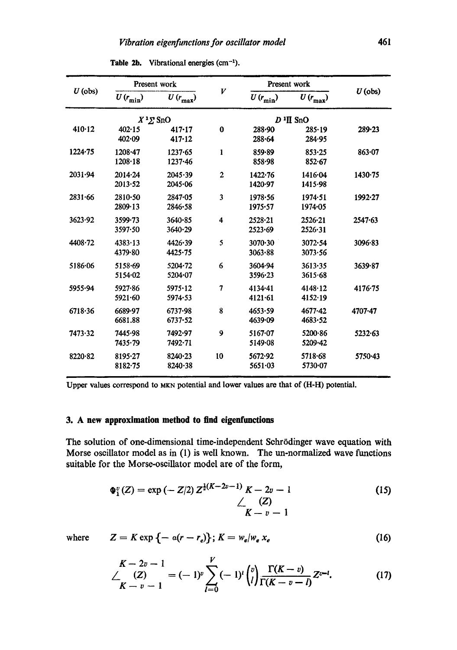|             | Present work                |                              |                         |                            | Present work                 |           |  |
|-------------|-----------------------------|------------------------------|-------------------------|----------------------------|------------------------------|-----------|--|
| $U$ (obs)   | $U\left(r_{\rm min}\right)$ | $U\left(r_\text{max}\right)$ | V                       | $U(r_{\min})$              | $U\left(r_\text{max}\right)$ | $U$ (obs) |  |
|             | $X^1\Sigma$ SnO             |                              |                         |                            | $D^1\Pi$ SnO                 |           |  |
| 410.12      | 402.15<br>402.09            | 417.17<br>417.12             | $\bf{0}$                | 288.90<br>288.64           | 285.19<br>284.95             | 289.23    |  |
| 1224.75     | 1208.47<br>1208.18          | 1237.65<br>$1237 - 46$       | $\mathbf{1}$            | 859.89<br>858.98           | 853.25<br>852.67             | 863.07    |  |
| 2031.94     | 2014.24<br>2013.52          | 2045.39<br>2045.06           | $\overline{2}$          | 1422.76<br>1420.97         | 1416.04<br>1415.98           | 1430.75   |  |
| 2831.66     | $2810 - 50$<br>2809.13      | 2847.05<br>2846.58           | 3                       | 1978.56<br>1975.57         | $1974 - 51$<br>1974-05       | 1992.27   |  |
| 3623.92     | $3599 - 73$<br>3597.50      | 3640.85<br>3640.29           | $\overline{\mathbf{4}}$ | 2528.21<br>2523.69         | $2526 - 21$<br>2526.31       | 2547.63   |  |
| $4408 - 72$ | $4383 \cdot 13$<br>4379.80  | 4426.39<br>4425.75           | 5                       | 3070.30<br>3063.88         | $3072 - 54$<br>3073.56       | 3096.83   |  |
| 5186.06     | 5158.69<br>5154.02          | $5204 - 72$<br>5204.07       | 6                       | 3604.94<br>3596.23         | 3613.35<br>3615.68           | 3639.87   |  |
| 5955.94     | 5927-86<br>5921.60          | 5975.12<br>5974.53           | 7                       | $4134 - 41$<br>$4121 - 61$ | 4148.12<br>4152.19           | 4176.75   |  |
| 6718.36     | 6689-97<br>6681.88          | 6737.98<br>6737.52           | 8                       | 4653.59<br>4639.09         | 4677.42<br>4683.52           | 4707-47   |  |
| 7473.32     | 7445.98<br>7435.79          | 7492.97<br>7492.71           | 9                       | 5167.07<br>5149.08         | 5200.86<br>5209-42           | 5232.63   |  |
| 8220.82     | 8195.27<br>8182.75          | 8240.23<br>8240.38           | 10                      | 5672.92<br>5651.03         | 5718.68<br>5730.07           | 5750.43   |  |

Table 2b. Vibrational energies  $(cm<sup>-1</sup>)$ .

Upper values correspond to MKN potential and lower values are that of (H-H) potential.

## **3. A new approximation method to find eigenfunctions**

The solution of one-dimensional time-independent Schrödinger wave equation with Morse oscillator model as in (1) is well known. The un-normalized wave functions suitable for the Morse-oscillator model are of the form,

$$
\Phi_1^v(Z) = \exp(-Z/2) Z^{\frac{1}{2}(K-2v-1)} K - 2v - 1
$$
\n
$$
\angle (Z)
$$
\n
$$
K - v - 1
$$
\n(15)

where 
$$
Z = K \exp \{-\alpha (r - r_e)\}; K = w_e / w_e x_e
$$
 (16)

$$
\frac{K-2v-1}{K-v-1}=(-1)^{v}\sum_{l=0}^{V}(-1)^{l}\binom{v}{l}\frac{\Gamma(K-v)}{\Gamma(K-v-l)}Z^{v-l}.
$$
 (17)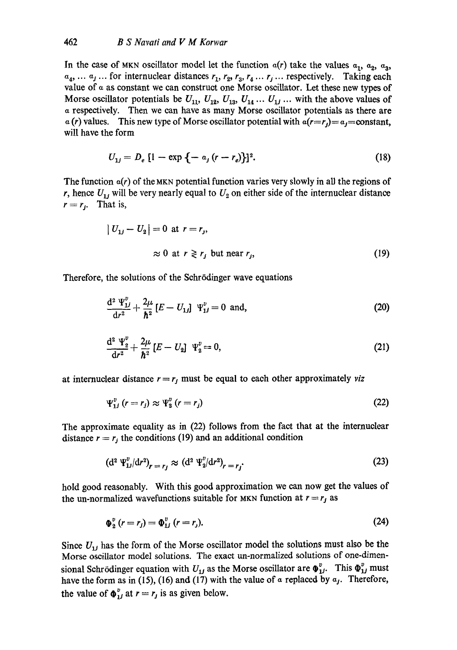In the case of MKN oscillator model let the function  $a(r)$  take the values  $a_1$ ,  $a_2$ ,  $a_3$ ,  $a_4, \ldots, a_j$ ... for internuclear distances  $r_1, r_2, r_3, r_4, \ldots, r_j$ ... respectively. Taking each value of  $\alpha$  as constant we can construct one Morse oscillator. Let these new types of Morse oscillator potentials be  $U_{11}$ ,  $U_{12}$ ,  $U_{13}$ ,  $U_{14}$  ...  $U_{1j}$  ... with the above values of a respectively. Then we ean have as many Morse oscillator potentials as there are  $\alpha(r)$  values. This new type of Morse oscillator potential with  $\alpha(r=r_0)=\alpha_f=constant$ , will have the form

$$
U_{1j} = D_e [1 - \exp \{-a_j (r - r_e)\}]^2.
$$
 (18)

The function  $\alpha(r)$  of the MKN potential function varies very slowly in all the regions of r, hence  $U_{1i}$  will be very nearly equal to  $U_2$  on either side of the internuclear distance  $r=r_i$ . That is,

$$
|U_{1j} - U_2| = 0 \text{ at } r = r_j,
$$
  
\n
$$
\approx 0 \text{ at } r \ge r_j \text{ but near } r_j,
$$
 (19)

Therefore, the solutions of the Schrödinger wave equations

$$
\frac{d^2 \Psi_{1j}^v}{dr^2} + \frac{2\mu}{\hbar^2} \left[ E - U_{1j} \right] \Psi_{1j}^v = 0 \text{ and,}
$$
 (20)

$$
\frac{\mathrm{d}^2 \Psi_2^v}{\mathrm{d} r^2} + \frac{2\mu}{\hbar^2} \left[ E - U_2 \right] \Psi_2^v = 0, \tag{21}
$$

at internuclear distance  $r = r_j$  must be equal to each other approximately *viz* 

$$
\Psi_{1j}^v \ (r=r_j) \approx \Psi_2^v \ (r=r_j) \tag{22}
$$

The approximate equality as in (22) follows from the fact that at the internuclear distance  $r = r_j$  the conditions (19) and an additional condition

$$
(\mathrm{d}^{2} \Psi_{1}^{v}/\mathrm{d} r^{2})_{r=r_{j}} \approx (\mathrm{d}^{2} \Psi_{2}^{v}/\mathrm{d} r^{2})_{r=r_{j}}.
$$
 (23)

hold good reasonably. With this good approximation we can now get the values of the un-normalized wavefunctions suitable for MKN function at  $r = r_j$  as

$$
\Phi_2^v (r = r_j) = \Phi_{1j}^v (r = r_j). \tag{24}
$$

Since  $U_{1j}$  has the form of the Morse oscillator model the solutions must also be the Morse oscillator model solutions. The exact un-normalized solutions of one-dimensional Schrödinger equation with  $U_{1j}$  as the Morse oscillator are  $\Phi_{1j}^v$ . This  $\Phi_{1j}^v$  must have the form as in (15), (16) and (17) with the value of  $\alpha$  replaced by  $\alpha_j$ . Therefore, the value of  $\Phi_{ij}^v$  at  $r = r_j$  is as given below.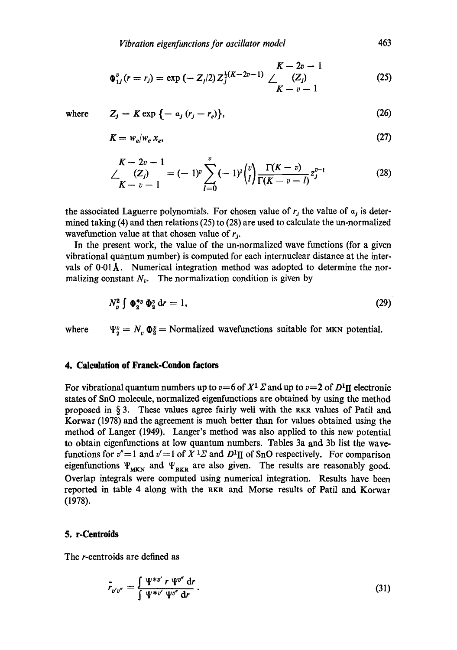$$
\Phi_{1J}^v(r=r_j)=\exp\left(-Z_j/2\right)Z_j^{\frac{1}{2}(K-2v-1)}\bigtriangleup \frac{K-2v-1}{K-v-1}\tag{25}
$$

where 
$$
Z_j = K \exp\{-\alpha_j (r_j - r_e)\},
$$
 (26)

$$
K = w_e / w_e x_e, \tag{27}
$$

$$
\begin{aligned} \n\sum_{K=-\infty}^{K-\infty} (Z_j) &= (-1)^{\nu} \sum_{l=0}^{\nu} (-1)^l \binom{\nu}{l} \frac{\Gamma(K-\nu)}{\Gamma(K-\nu-l)} z_j^{\nu-l} \tag{28} \n\end{aligned}
$$

the associated Laguerre polynomials. For chosen value of  $r_j$  the value of  $a_j$  is determined taking (4) and then relations (25) to (28) are used to calculate the un-normalized wavefunction value at that chosen value of  $r_i$ .

In the present work, the value of the un-normalized wave functions (for a given vibrational quantum number) is computed for each internuclear distance at the intervals of  $0.01$ Å. Numerical integration method was adopted to determine the normalizing constant  $N_v$ . The normalization condition is given by

$$
N_x^2 \int \Phi_2^* v \Phi_2^v dr = 1, \qquad (29)
$$

where  $\Psi_2^v = N_v \Phi_2^v =$  Normalized wavefunctions suitable for MKN potential.

# **4. Calculation of Franek-Condon factors**

For vibrational quantum numbers up to  $v=6$  of  $X<sup>1</sup> \Sigma$  and up to  $v=2$  of  $D<sup>1</sup> \Pi$  electronic states of SnO molecule, normalized eigenfunctions are obtained by using the method proposed in  $\S$ 3. These values agree fairly well with the RKR values of Patil and Korwar (1978) and the agreement is much better than for values obtained using the method of Langer (1949). Langer's method was also applied to this new potential to obtain eigenfunctions at low quantum numbers. Tables 3a and 3b list the wavefunctions for  $v''=1$  and  $v'=1$  of  $X<sup>1</sup>\Sigma$  and  $D<sup>1</sup>\Pi$  of SnO respectively. For comparison eigenfunctions  $\Psi_{MKN}$  and  $\Psi_{RKR}$  are also given. The results are reasonably good. Overlap integrals were computed using numerical integration. Results have been reported in table 4 along with the RKR and Morse results of Patil and Korwar (1978).

# 5. **r-Centroids**

The r-centroids are defined as

$$
\bar{r}_{v'v''} = \frac{\int \Psi^{*v'} r \Psi^{v''} dr}{\int \Psi^{*v'} \Psi^{v''} dr}.
$$
\n(31)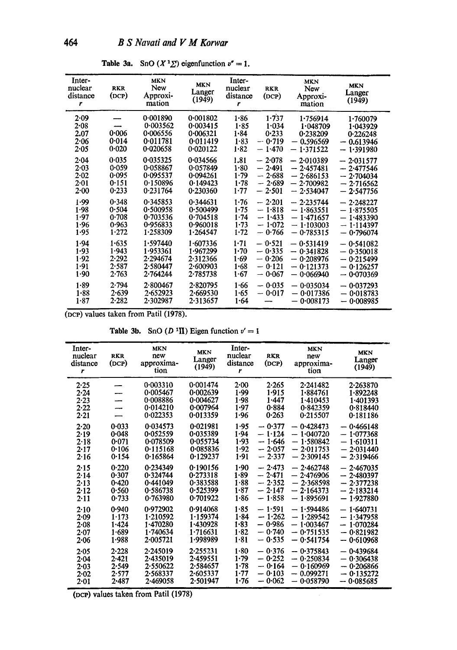| Inter-<br>nuclear<br>distance<br>r           | <b>RKR</b><br>(DCP)                       | <b>MKN</b><br>New<br>Approxi-<br>mation                  | <b>MKN</b><br>Langer<br>(1949)                           | Inter-<br>nuclear<br>distance<br>r           | <b>RKR</b><br>(DCP)                                      | <b>MKN</b><br>New<br>Approxi-<br>mation                                 | <b>MKN</b><br>Langer<br>(1949)                                          |
|----------------------------------------------|-------------------------------------------|----------------------------------------------------------|----------------------------------------------------------|----------------------------------------------|----------------------------------------------------------|-------------------------------------------------------------------------|-------------------------------------------------------------------------|
| 2.09<br>2.08<br>2.07<br>2.06<br>$2 - 05$     | 0.006<br>0.014<br>0.020                   | 0.001890<br>0.003562<br>0.006556<br>0.011781<br>0.020658 | 0.001802<br>0.003415<br>0.006321<br>0.011419<br>0.020122 | $1 - 86$<br>1.85<br>$1 - 84$<br>1.83<br>1.82 | 1.737<br>1.034<br>0.233<br>$-0.719$<br>$-1.470$          | 1.756914<br>1.048709<br>0.238209<br>$-0.596569$<br>$-1.371522$          | 1.760079<br>1.043929<br>0.226248<br>$-0.613946$<br>$-1.391980$          |
| 2.04<br>2.03<br>2.02<br>$2 - 01$<br>$2 - 00$ | 0.035<br>0.059<br>0.095<br>0.151<br>0.233 | 0.035325<br>0-058867<br>0.095537<br>0.150896<br>0.231764 | 0.034566<br>0.057849<br>0.094261<br>0.149423<br>0.230360 | 1.81<br>1.80<br>1.79<br>1.78<br>1.77         | $-2.078$<br>$-2.491$<br>$-2.688$<br>$-2.689$<br>$-2.501$ | $-2.010389$<br>$-2.457481$<br>$-2.686153$<br>$-2.700982$<br>$-2.534047$ | $-2.031577$<br>$-2.477546$<br>$-2.704034$<br>$-2.716562$<br>$-2.547756$ |
| 1.99<br>1.98<br>1.97<br>1.96<br>1.95         | 0.348<br>0.504<br>0.708<br>0.963<br>1.272 | 0.345853<br>0-500958<br>0.703536<br>0.956833<br>1.258309 | 0.344631<br>0.500499<br>0.704518<br>0.960018<br>1.264547 | 1.76<br>$1 - 75$<br>1.74<br>1.73<br>1.72     | $-2.201$<br>$-1.818$<br>$-1.433$<br>$-1.072$<br>$-0.766$ | $-2.235744$<br>$-1.863551$<br>$-1.471657$<br>$-1.103003$<br>$-0.785315$ | $-2.248227$<br>$-1.875505$<br>$-1.483390$<br>$-1.114397$<br>$-0.796074$ |
| 1.94<br>1.93<br>1.92<br>1.91<br>1.90         | 1.635<br>1.943<br>2.292<br>2.587<br>2.763 | 1.597440<br>1.953361<br>2.294674<br>2.580447<br>2-764244 | 1.607336<br>1.967299<br>2.312366<br>2.600903<br>2-785738 | $1 - 71$<br>1.70<br>1.69<br>1.68<br>$1-67$   | $-0.521$<br>$-0.335$<br>$-0.206$<br>$-0.121$<br>$-0.067$ | $-0.531419$<br>$-0.341828$<br>$-0.208976$<br>$-0.121373$<br>$-0.066940$ | $-0.541082$<br>$-0.350018$<br>$-0.215499$<br>$-0.126257$<br>$-0.070369$ |
| 1.89<br>1.88<br>1.87                         | 2.794<br>2.639<br>2.282                   | 2.800467<br>2.652923<br>2.302987                         | 2.820795<br>2.669530<br>2.313657                         | 1.66<br>$1 - 65$<br>1.64                     | $-0.035$<br>$-0.017$                                     | $-0.035034$<br>$-0.017386$<br>$-0.008173$                               | $-0.037293$<br>$-0.018783$<br>$-0.008985$                               |

Table 3a. SnO  $(X^1 \Sigma)$  eigenfunction  $v'' = 1$ .

(DCP) values taken from Patil (1978).

Table 3b. SnO  $(D<sup>1</sup>H)$  Eigen function  $v' = 1$ 

| Inter-<br>nuclear<br>distance<br>r       | <b>RKR</b><br>(DCP)                       | <b>MKN</b><br>new<br>approxima-<br>tion                  | <b>MKN</b><br>Langer<br>(1949)                           | Inter-<br>nuclear<br>distance<br>r   | <b>RKR</b><br>(DCP)                                      | <b>MKN</b><br>new<br>approxima-<br>tion                                    | <b>MKN</b><br>Langer<br>(1949)                                       |
|------------------------------------------|-------------------------------------------|----------------------------------------------------------|----------------------------------------------------------|--------------------------------------|----------------------------------------------------------|----------------------------------------------------------------------------|----------------------------------------------------------------------|
| $2 - 25$                                 | --                                        | 0.003310                                                 | 0.001474                                                 | 2.00                                 | 2.265                                                    | 2.241482                                                                   | $2 - 263870$                                                         |
| 2.24                                     |                                           | 0.005467                                                 | 0.002639                                                 | 1.99                                 | 1.915                                                    | 1-884761                                                                   | 1.892248                                                             |
| $2 - 23$                                 |                                           | 0.008886                                                 | 0.004627                                                 | 1.98                                 | 1.447                                                    | 1.410453                                                                   | 1.401393                                                             |
| 2.22                                     |                                           | 0.014210                                                 | 0.007964                                                 | 1.97                                 | 0.884                                                    | 0.842359                                                                   | 0.818440                                                             |
| 2.21                                     |                                           | 0.022353                                                 | 0.013359                                                 | 1.96                                 | 0.263                                                    | 0.215507                                                                   | 0.181186                                                             |
| 2.20<br>2.19<br>$2 - 18$<br>2.17<br>2.16 | 0.033<br>0.048<br>0.071<br>0.106<br>0.154 | 0.034573<br>0.052559<br>0-078509<br>0.115168<br>0.165864 | 0.021981<br>0.035389<br>0.055734<br>0.085836<br>0.129237 | 1.95<br>1.94<br>1.93<br>1.92<br>1.91 | $-0.377$<br>$-1.124$<br>$-1.646$<br>$-2.057$<br>$-2.337$ | 0.428473<br>÷,<br>$-1.040720$<br>$-1.580842$<br>$-2.011753$<br>$-2.309145$ | 0.466148<br>$-1.077368$<br>$-1.610311$<br>$-2.031440$<br>$-2.319466$ |
| 2.15                                     | 0.220                                     | 0.234349                                                 | 0.190156                                                 | 1.90                                 | $-2.473$                                                 | $-2.462748$                                                                | $-2.467035$                                                          |
| 2.14                                     | 0.307                                     | 0.324744                                                 | 0.273318                                                 | 1.89                                 | $-2.471$                                                 | — 2·476906                                                                 | $-2.480397$                                                          |
| 2.13                                     | 0.420                                     | 0.441049                                                 | 0.383588                                                 | 1.88                                 | $-2.352$                                                 | $-2.368598$                                                                | $-2.377238$                                                          |
| 2.12                                     | 0.560                                     | 0.586738                                                 | 0.525399                                                 | 1.87                                 | $-2.147$                                                 | $-2.164373$                                                                | $-2.183214$                                                          |
| 2.11                                     | 0.733                                     | 0.763980                                                 | 0.701922                                                 | 1.86                                 | $-1.858$                                                 | $-1.895691$                                                                | $-1.927880$                                                          |
| 2.10                                     | 0.940                                     | 0.972902                                                 | 0.914068                                                 | 1.85                                 | $-1.591$                                                 | — 1.594486                                                                 | $-1.640731$                                                          |
| 2.09                                     | $1 - 173$                                 | 1.210592                                                 | 1.159374                                                 | 1.84                                 | $-1.262$                                                 | $-1.289542$                                                                | $-1.347958$                                                          |
| $2 - 08$                                 | 1.424                                     | 1.470280                                                 | 1.430928                                                 | 1.83                                 | $-0.986$                                                 | $-1.003467$                                                                | $-1.070284$                                                          |
| 2.07                                     | 1.689                                     | 1.740634                                                 | 1.716631                                                 | 1.82                                 | $-0.740$                                                 | $-0.751535$                                                                | $-0.821982$                                                          |
| 2.06                                     | 1.988                                     | 2.005721                                                 | 1.998989                                                 | 1.81                                 | $-0.535$                                                 | $-0.541754$                                                                | $-0.610968$                                                          |
| 2.05                                     | 2.228                                     | 2.245019                                                 | 2.255231                                                 | 1.80                                 | $-0.376$                                                 | $-0.375843$                                                                | $-0.439684$                                                          |
| 2.04                                     | 2.421                                     | 2-435019                                                 | 2.459551                                                 | 1.79                                 | $-0.252$                                                 | $-0.250834$                                                                | $-0.306438$                                                          |
| 2.03                                     | 2.549                                     | 2.550622                                                 | 2.584657                                                 | $1 - 78$                             | $-0.164$                                                 | $-0.160969$                                                                | $-0.206866$                                                          |
| $2 - 02$                                 | 2.577                                     | 2.568337                                                 | 2.605337                                                 | $1 - 77$                             | $-0.103$                                                 | $-0.099271$                                                                | $-0.135272$                                                          |
| 2.01                                     | $2 - 487$                                 | 2-469058                                                 | 2.501947                                                 | 1.76                                 | $-$ 0.062                                                | $-0.058790$                                                                | $-0.085685$                                                          |

(DCP) values taken from Patil (1978)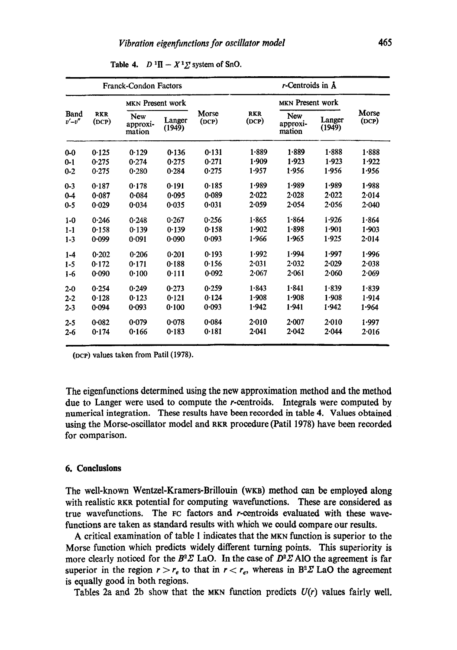|                                         |       | <b>Franck-Condon Factors</b> |                  | $r$ -Centroids in $\Lambda$ |                     |                                  |                  |                |
|-----------------------------------------|-------|------------------------------|------------------|-----------------------------|---------------------|----------------------------------|------------------|----------------|
|                                         |       | MKN Present work             |                  |                             |                     | MKN Present work                 |                  |                |
| Band<br><b>RKR</b><br>$v'-v''$<br>(DCP) |       | New<br>approxi-<br>mation    | Langer<br>(1949) | Morse<br>(DCP)              | <b>RKR</b><br>(DCP) | <b>New</b><br>approxi-<br>mation | Langer<br>(1949) | Morse<br>(DCP) |
| $0 - 0$                                 | 0.125 | 0.129                        | 0.136            | 0.131                       | 1.889               | $1 - 889$                        | 1.888            | 1.888          |
| $0 - 1$                                 | 0.275 | 0.274                        | 0.275            | 0.271                       | 1.909               | 1.923                            | 1.923            | 1.922          |
| $0 - 2$                                 | 0.275 | 0.280                        | 0.284            | 0.275                       | 1.957               | 1.956                            | 1.956            | 1.956          |
| $0 - 3$                                 | 0.187 | 0.178                        | 0.191            | 0.185                       | 1.989               | 1.989                            | 1.989            | 1.988          |
| $0 - 4$                                 | 0.087 | 0.084                        | 0.095            | 0.089                       | 2.022               | 2.028                            | 2.022            | 2.014          |
| $0 - 5$                                 | 0.029 | 0.034                        | 0.035            | 0.031                       | 2.059               | 2.054                            | 2.056            | 2.040          |
| $1 - 0$                                 | 0.246 | 0.248                        | 0.267            | 0.256                       | 1.865               | 1.864                            | 1.926            | 1.864          |
| $1 - 1$                                 | 0.158 | 0.139                        | 0.139            | 0.158                       | 1.902               | 1.898                            | 1.901            | 1.903          |
| $1-3$                                   | 0.099 | 0.091                        | 0.090            | 0.093                       | 1.966               | 1.965                            | 1.925            | 2.014          |
| $1 - 4$                                 | 0.202 | 0.206                        | 0.201            | 0.193                       | 1.992               | 1.994                            | 1.997            | 1.996          |
| $1 - 5$                                 | 0.172 | 0.171                        | 0.188            | 0.156                       | 2.031               | 2.032                            | $2 - 029$        | 2.038          |
| $1-6$                                   | 0.090 | 0.100                        | 0.111            | 0.092                       | 2.067               | 2.061                            | 2.060            | 2.069          |
| $2 - 0$                                 | 0.254 | 0.249                        | 0.273            | 0.259                       | 1.843               | 1.841                            | 1.839            | 1.839          |
| $2 - 2$                                 | 0.128 | 0.123                        | 0.121            | 0.124                       | 1.908               | 1.908                            | 1.908            | 1.914          |
| $2 - 3$                                 | 0.094 | 0.093                        | 0.100            | 0.093                       | 1.942               | 1.941                            | 1.942            | 1.964          |
| $2 - 5$                                 | 0.082 | 0.079                        | 0.078            | 0.084                       | 2.010               | 2.007                            | $2 - 010$        | 1.997          |
| $2 - 6$                                 | 0.174 | 0.166                        | 0.183            | 0.181                       | 2.041               | 2.042                            | 2.044            | $2 - 016$      |

**Table 4.**  $D^{-1}\Pi - X^T\Sigma$  system of SnO.

(DCP) values taken from Patil (1978).

The eigenfunetions determined using the new approximation method and the method due to Langer were used to compute the r-centroids. Integrals were computed by numerical integration. These results have been recorded in table 4. Values obtained using the Morse-oscillator model and RKR procedure (Patil 1978) have been recorded for comparison.

#### **6. Conclusions**

The well-known Wentzel-Kramers-Brillouin (WKn) method can be employed along with realistic RKR potential for computing wavefunctions. These are considered as true wavefunctions. The FC factors and r-eentroids evaluated with these wavefunctions are taken as standard results with which we could compare our results.

A critical examination of table 1 indicates that the MKN function is superior to the Morse function which predicts widely different turning points. This superiority is more clearly noticed for the  $B^2\Sigma$  LaO. In the case of  $D^2\Sigma$  AlO the agreement is far superior in the region  $r > r_e$  to that in  $r < r_e$ , whereas in B<sup>2</sup> $\chi$ <sup>2</sup> LaO the agreement is equally good in both regions.

Tables 2a and 2b show that the MKN function predicts *U(r)* values fairly well.